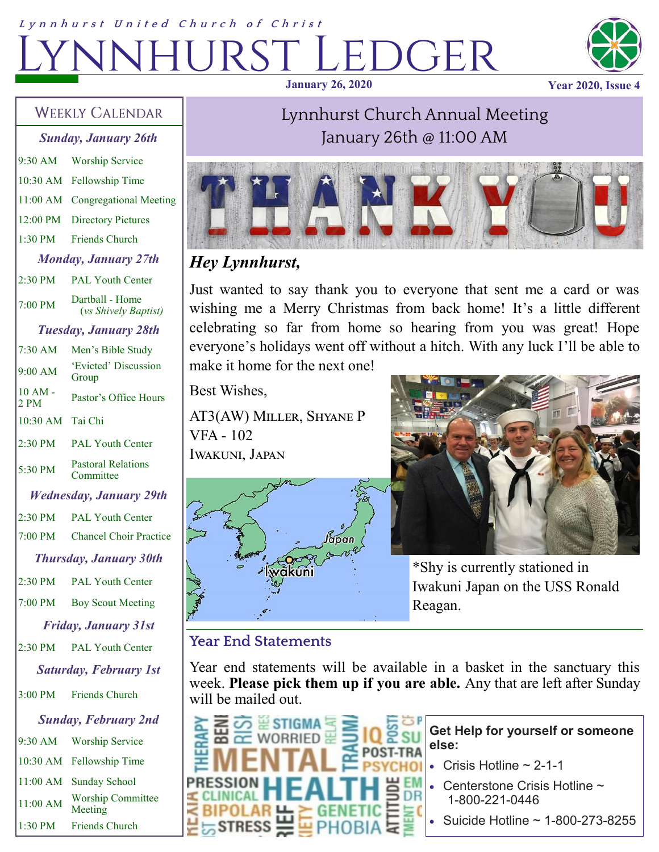# Lynnhurst United Church of Christ EDGER **January 26, 2020 Year 2020, Issue 4**



#### **WEEKLY CALENDAR**

*Sunday, January 26th* 9:30 AM Worship Service 10:30 AM Fellowship Time 11:00 AM Congregational Meeting 12:00 PM Directory Pictures 1:30 PM Friends Church *Monday, January 27th* 2:30 PM PAL Youth Center  $7:00 \text{ PM}$  Dartball - Home (*vs Shively Baptist) Tuesday, January 28th* 7:30 AM Men's Bible Study 9:00 AM 'Evicted' Discussion Group 10 AM -  $2 PM$  Pastor's Office Hours 10:30 AM Tai Chi 2:30 PM PAL Youth Center 5:30 PM Pastoral Relations Committee *Wednesday, January 29th* 2:30 PM PAL Youth Center 7:00 PM Chancel Choir Practice *Thursday, January 30th* 2:30 PM PAL Youth Center 7:00 PM Boy Scout Meeting *Friday, January 31st* 2:30 PM PAL Youth Center *Saturday, February 1st* 3:00 PM Friends Church *Sunday, February 2nd* 9:30 AM Worship Service 10:30 AM Fellowship Time 11:00 AM Sunday School 11:00 AM Worship Committee Meeting

1:30 PM Friends Church

## Lynnhurst Church Annual Meeting January 26th @ 11:00 AM



## *Hey Lynnhurst,*

Just wanted to say thank you to everyone that sent me a card or was wishing me a Merry Christmas from back home! It's a little different celebrating so far from home so hearing from you was great! Hope everyone's holidays went off without a hitch. With any luck I'll be able to make it home for the next one!

Best Wishes,

AT3(AW) Miller, Shyane P VFA - 102 Iwakuni, Japan





\*Shy is currently stationed in Iwakuni Japan on the USS Ronald Reagan.

### **Year End Statements**

Year end statements will be available in a basket in the sanctuary this week. **Please pick them up if you are able.** Any that are left after Sunday will be mailed out.



**Get Help for yourself or someone else:** 

- Crisis Hotline  $\sim$  2-1-1
- Centerstone Crisis Hotline ~ 1-800-221-0446
- Suicide Hotline ~ 1-800-273-8255